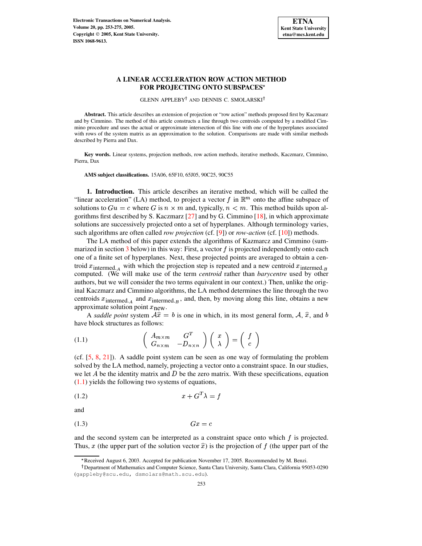

# **A LINEAR ACCELERATION ROW ACTION METHOD FOR PROJECTING ONTO SUBSPACES**

GLENN APPLEBY<sup>†</sup> AND DENNIS C. SMOLARSKI<sup>†</sup>

**Abstract.** This article describes an extension of projection or "row action" methods proposed first by Kaczmarz and by Cimmino. The method of this article constructs a line through two centroids computed by a modified Cimmino procedure and uses the actual or approximate intersection of this line with one of the hyperplanes associated with rows of the system matrix as an approximation to the solution. Comparisons are made with similar methods described by Pierra and Dax.

**Key words.** Linear systems, projection methods, row action methods, iterative methods, Kaczmarz, Cimmino, Pierra, Dax

**AMS subject classifications.** 15A06, 65F10, 65J05, 90C25, 90C55

**1. Introduction.** This article describes an iterative method, which will be called the "linear acceleration" (LA) method, to project a vector f in  $\mathbb{R}^m$  onto the affine subspace of solutions to  $Gu = c$  where G is  $n \times m$  and, typically,  $n < m$ . This method builds upon algorithms first described by S. Kaczmarz [\[27\]](#page-22-0) and by G. Cimmino [\[18\]](#page-22-1), in which approximate solutions are successively projected onto a set of hyperplanes. Although terminology varies, such algorithms are often called *row projection* (cf. [\[9\]](#page-21-0)) or *row-action* (cf. [\[10\]](#page-21-1)) methods.

The LA method of this paper extends the algorithms of Kazmarcz and Cimmino (summarized in section  $3$  below) in this way: First, a vector  $f$  is projected independently onto each one of a finite set of hyperplanes. Next, these projected points are averaged to obtain a centroid  $x_{\text{intermed. }A}$  with which the projection step is repeated and a new centroid  $x_{\text{intermed. }B}$ computed. (We will make use of the term *centroid* rather than *barycentre* used by other authors, but we will consider the two terms equivalent in our context.) Then, unlike the original Kaczmarz and Cimmino algorithms, the LA method determines the line through the two centroids  $x_{\text{intermed. }A}$  and  $x_{\text{intermed. }B}$ , and, then, by moving along this line, obtains a new approximate solution point  $x_{\text{new}}$ .

<span id="page-0-0"></span>A *saddle point* system  $A\hat{x} = b$  is one in which, in its most general form, A,  $\hat{x}$ , and b have block structures as follows:

(1.1) 
$$
\begin{pmatrix} A_{m \times m} & G^T \\ G_{n \times m} & -D_{n \times n} \end{pmatrix} \begin{pmatrix} x \\ \lambda \end{pmatrix} = \begin{pmatrix} f \\ c \end{pmatrix}
$$

(cf.  $[5, 8, 21]$  $[5, 8, 21]$  $[5, 8, 21]$  $[5, 8, 21]$  $[5, 8, 21]$ ). A saddle point system can be seen as one way of formulating the problem solved by the LA method, namely, projecting a vector onto a constraint space. In our studies, we let  $A$  be the identity matrix and  $D$  be the zero matrix. With these specifications, equation  $(1.1)$  yields the following two systems of equations,

<span id="page-0-1"></span>
$$
(1.2)\t\t\t x + G^T \lambda = f
$$

<span id="page-0-2"></span>and

$$
(1.3) \t\t Gx = c
$$

and the second system can be interpreted as a constraint space onto which  $f$  is projected. Thus, x (the upper part of the solution vector  $\hat{x}$ ) is the projection of f (the upper part of the

<sup>3</sup> Received August 6, 2003. Accepted for publication November 17, 2005. Recommended by M. Benzi.

Department of Mathematics and Computer Science, Santa Clara University, Santa Clara, California 95053-0290 (gappleby@scu.edu, dsmolars@math.scu.edu).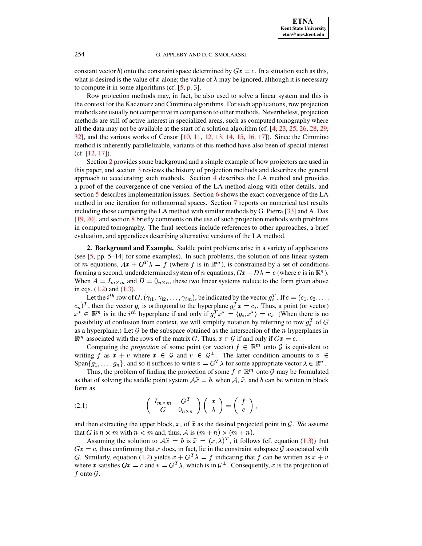constant vector b) onto the constraint space determined by  $Gx = c$ . In a situation such as this, what is desired is the value of  $x$  alone; the value of  $\lambda$  may be ignored, although it is necessary to compute it in some algorithms (cf. [\[5,](#page-21-2) p. 3].

Row projection methods may, in fact, be also used to solve a linear system and this is the context for the Kaczmarz and Cimmino algorithms. For such applications, row projection methods are usually not competitive in comparison to other methods. Nevertheless, projection methods are still of active interest in specialized areas, such as computed tomography where all the data may not be available at the start of a solution algorithm (cf. [\[4,](#page-21-4) [23,](#page-22-3) [25,](#page-22-4) [26,](#page-22-5) [28,](#page-22-6) [29,](#page-22-7)  $32$ ], and the various works of Censor  $[10, 11, 12, 13, 14, 15, 16, 17]$  $[10, 11, 12, 13, 14, 15, 16, 17]$  $[10, 11, 12, 13, 14, 15, 16, 17]$  $[10, 11, 12, 13, 14, 15, 16, 17]$  $[10, 11, 12, 13, 14, 15, 16, 17]$  $[10, 11, 12, 13, 14, 15, 16, 17]$  $[10, 11, 12, 13, 14, 15, 16, 17]$  $[10, 11, 12, 13, 14, 15, 16, 17]$  $[10, 11, 12, 13, 14, 15, 16, 17]$  $[10, 11, 12, 13, 14, 15, 16, 17]$  $[10, 11, 12, 13, 14, 15, 16, 17]$  $[10, 11, 12, 13, 14, 15, 16, 17]$  $[10, 11, 12, 13, 14, 15, 16, 17]$  $[10, 11, 12, 13, 14, 15, 16, 17]$  $[10, 11, 12, 13, 14, 15, 16, 17]$ ). Since the Cimmino method is inherently parallelizable, variants of this method have also been of special interest (cf. [\[12,](#page-21-6) [17\]](#page-21-11)).

Section [2](#page-1-0) provides some background and a simple example of how projectors are used in this paper, and section [3](#page-2-0) reviews the history of projection methods and describes the general approach to accelerating such methods. Section [4](#page-4-0) describes the LA method and provides a proof of the convergence of one version of the LA method along with other details, and section [5](#page-8-0) describes implementation issues. Section [6](#page-10-0) shows the exact convergence of the LA method in one iteration for orthonormal spaces. Section [7](#page-11-0) reports on numerical test results including those comparing the LA method with similar methods by G. Pierra [\[33\]](#page-22-9) and A. Dax [\[19,](#page-22-10) [20\]](#page-22-11), and section [8](#page-18-0) briefly comments on the use of such projection methods with problems in computed tomography. The final sections include references to other approaches, a brief evaluation, and appendices describing alternative versions of the LA method.

<span id="page-1-0"></span>**2. Background and Example.** Saddle point problems arise in a variety of applications (see [\[5,](#page-21-2) pp. 5–14] for some examples). In such problems, the solution of one linear system of m equations,  $Ax + G^{T}\lambda = f$  (where f is in  $\mathbb{R}^{m}$ ), is constrained by a set of conditions forming a second, underdetermined system of *n* equations,  $Gx - D\lambda = c$  (where *c* is in  $\mathbb{R}^n$ ). When  $A = I_{m \times m}$  and  $D = 0_{n \times n}$ , these two linear systems reduce to the form given above in eqs.  $(1.2)$  and  $(1.3)$ .

Let the  $i^{th}$  row of  $G$ ,  $(\gamma_{i1}, \gamma_{i2}, \ldots, \gamma_{im})$ , be indicated by the vector  $g_i^T$ . If  $c = (c_1, c_2, \ldots, c_m)$  $(c_n)^T$ , then the vector  $g_i$  is orthogonal to the hyperplane  $g_i^T x = c_i$ . Thus, a point (or vector)  $x^* \in \mathbb{R}^m$  is in the i<sup>th</sup> hyperplane if and only if  $g_i^T x^* = \langle g_i, x^* \rangle = c_i$ . (When there is no possibility of confusion from context, we will simplify notation by referring to row  $g_i^T$  of G as a hyperplane.) Let  $G$  be the subspace obtained as the intersection of the  $n$  hyperplanes in  $\mathbb{R}^m$  associated with the rows of the matrix G. Thus,  $x \in \mathcal{G}$  if and only if  $Gx = c$ .

Computing the *projection* of some point (or vector)  $f \in \mathbb{R}^m$  onto  $\mathcal G$  is equivalent to writing f as  $x + v$  where  $x \in \mathcal{G}$  and  $v \in \mathcal{G}^{\perp}$ . The latter condition amounts to  $v \in$ Span $\{g_1, \ldots, g_n\}$ , and so it suffices to write  $v = G^T \lambda$  for some appropriate vector  $\lambda \in \mathbb{R}^n$ .

Thus, the problem of finding the projection of some  $f \in \mathbb{R}^m$  onto G may be formulated as that of solving the saddle point system  $\hat{\mathcal{A}}\hat{x} = b$ , when  $\hat{\mathcal{A}}$ ,  $\hat{x}$ , and  $b$  can be written in block form as

<span id="page-1-1"></span>(2.1) 
$$
\begin{pmatrix} I_{m \times m} & G^T \\ G & 0_{n \times n} \end{pmatrix} \begin{pmatrix} x \\ \lambda \end{pmatrix} = \begin{pmatrix} f \\ c \end{pmatrix},
$$

and then extracting the upper block, x, of  $\hat{x}$  as the desired projected point in  $\hat{G}$ . We assume that G is  $n \times m$  with  $n < m$  and, thus, A is  $(m + n) \times (m + n)$ .

Assuming the solution to  $\hat{A}\hat{x} = b$  is  $\hat{x} = (x, \lambda)^T$ , it follows (cf. equation [\(1.3\)](#page-0-2)) that  $Gx = c$ , thus confirming that x does, in fact, lie in the constraint subspace  $\mathcal G$  associated with G. Similarly, equation [\(1.2\)](#page-0-1) yields  $x + G^{T}\lambda = f$  indicating that f can be written as  $x + v$ where x satisfies  $Gx = c$  and  $v = G<sup>T</sup> \lambda$ , which is in  $G<sup>\perp</sup>$ . Consequently, x is the projection of  $f$  onto  $\mathcal G$ .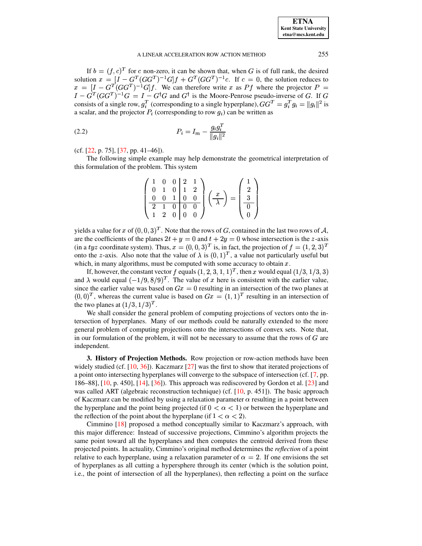If  $b = (f, c)^T$  for c non-zero, it can be shown that, when G is of full rank, the desired solution  $x = \left[I - G^T(GG^T)^{-1}G\right]f + G^T(GG^T)^{-1}c$ . If  $c = 0$ , the solution reduces to  $s = [I - G<sup>T</sup>(GG<sup>T</sup>)<sup>-1</sup>G]f$ . We can therefore write x as Pf where the projector P =  $I - G^T(GG^T)^{-1}G = I - G^{\dagger}G$  and  $G^{\dagger}$  is the Moore-Penrose pseudo-inverse of G. If G consists of a single row,  $g_i^T$  (corresponding to a single hyperplane),  $GG^T = g_i^T g_i = ||g_i||^2$  is a scalar, and the projector  $P_i$  (corresponding to row  $q_i$ ) can be written as

(2.2) 
$$
P_i = I_m - \frac{g_i g_i^T}{\|g_i\|^2}
$$

(cf. [\[22,](#page-22-12) p. 75], [\[37,](#page-22-13) pp. 41–46]).

The following simple example may help demonstrate the geometrical interpretation of this formulation of the problem. This system

$$
\begin{pmatrix}\n1 & 0 & 0 & 2 & 1 \\
0 & 1 & 0 & 1 & 2 \\
0 & 0 & 1 & 0 & 0 \\
2 & 1 & 0 & 0 & 0 \\
1 & 2 & 0 & 0 & 0\n\end{pmatrix}\n\begin{pmatrix}\nx \\
\lambda\n\end{pmatrix} = \begin{pmatrix}\n1 \\
2 \\
3 \\
0 \\
0\n\end{pmatrix}
$$

yields a value for x of  $(0, 0, 3)^T$ . Note that the rows of G, contained in the last two rows of A, are the coefficients of the planes  $2t + y = 0$  and  $t + 2y = 0$  whose intersection is the z-axis (in a tyz coordinate system). Thus,  $x = (0,0,3)^T$  is, in fact, the projection of  $f = (1,2,3)^T$ onto the *z*-axis. Also note that the value of  $\lambda$  is  $(0,1)^T$ , a value not particularly useful but which, in many algorithms, must be computed with some accuracy to obtain  $x$ .

If, however, the constant vector f equals  $(1, 2, 3, 1, 1)^T$ , then x would equal  $(1/3, 1/3, 3)$ <br>A would equal  $(-1/9, 8/9)^T$ . The value of x here is consistent with the earlier value and  $\lambda$  would equal  $(-1/9, 8/9)^T$ . The value of  $x$  here is consistent with the earlier value, since the earlier value was based on  $Gx = 0$  resulting in an intersection of the two planes at  $B(0,0)^T$ , whereas the current value is based on  $Gx = (1,1)^T$  resulting in an intersection of the two planes at  $(1/3, 1/3)^T$ .<br>We shall consider the general

wo planes at  $(1/3, 1/3)^T$ .<br>We shall consider the general problem of computing projections of vectors onto the intersection of hyperplanes. Many of our methods could be naturally extended to the more general problem of computing projections onto the intersections of convex sets. Note that, in our formulation of the problem, it will not be necessary to assume that the rows of  $G$  are independent.

<span id="page-2-0"></span>**3. History of Projection Methods.** Row projection or row-action methods have been widely studied (cf.  $[10, 36]$  $[10, 36]$  $[10, 36]$ ). Kaczmarz  $[27]$  was the first to show that iterated projections of a point onto intersecting hyperplanes will converge to the subspace of intersection (cf. [\[7,](#page-21-12) pp. 186–88], [\[10,](#page-21-1) p. 450], [\[14\]](#page-21-8), [\[36\]](#page-22-14)). This approach was rediscovered by Gordon et al. [\[23\]](#page-22-3) and was called ART (algebraic reconstruction technique) (cf.  $[10, p. 451]$  $[10, p. 451]$ ). The basic approach of Kaczmarz can be modified by using a relaxation parameter  $\alpha$  resulting in a point between the hyperplane and the point being projected (if  $0 < \alpha < 1$ ) or between the hyperplane and the reflection of the point about the hyperplane (if  $1 < \alpha < 2$ ).<br>Cimmino [18] proposed a method concentually similar to Ka

Cimmino [\[18\]](#page-22-1) proposed a method conceptually similar to Kaczmarz's approach, with this major difference: Instead of successive projections, Cimmino's algorithm projects the same point toward all the hyperplanes and then computes the centroid derived from these projected points. In actuality, Cimmino's original method determines the *reflection* of a point relative to each hyperplane, using a relaxation parameter of  $\alpha = 2$ . If one envisions the set of hyperplanes as all cutting a hypersphere through its center (which is the solution point, i.e., the point of intersection of all the hyperplanes), then reflecting a point on the surface

<span id="page-2-1"></span>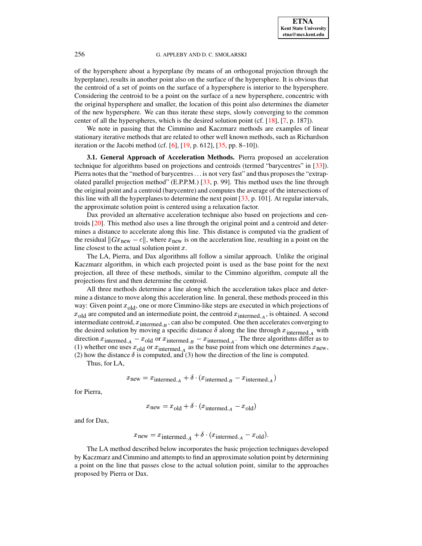of the hypersphere about a hyperplane (by means of an orthogonal projection through the hyperplane), results in another point also on the surface of the hypersphere. It is obvious that the centroid of a set of points on the surface of a hypersphere is interior to the hypersphere. Considering the centroid to be a point on the surface of a new hypersphere, concentric with the original hypersphere and smaller, the location of this point also determines the diameter of the new hypersphere. We can thus iterate these steps, slowly converging to the common center of all the hyperspheres, which is the desired solution point (cf. [\[18\]](#page-22-1), [\[7,](#page-21-12) p. 187]).

We note in passing that the Cimmino and Kaczmarz methods are examples of linear stationary iterative methods that are related to other well known methods, such as Richardson iteration or the Jacobi method (cf. [\[6\]](#page-21-13),  $[19, p. 612]$  $[19, p. 612]$ ,  $[35, pp. 8-10]$  $[35, pp. 8-10]$ ).

<span id="page-3-0"></span>**3.1. General Approach of Acceleration Methods.** Pierra proposed an acceleration technique for algorithms based on projections and centroids (termed "barycentres" in [\[33\]](#page-22-9)). Pierra notes that the "method of barycentres... is not very fast" and thus proposes the "extrap-olated parallel projection method" (E.P.P.M.) [\[33,](#page-22-9) p. 99]. This method uses the line through the original point and a centroid (barycentre) and computes the average of the intersections of this line with all the hyperplanes to determine the next point  $[33, p. 101]$  $[33, p. 101]$ . At regular intervals, the approximate solution point is centered using a relaxation factor.

Dax provided an alternative acceleration technique also based on projections and centroids [\[20\]](#page-22-11). This method also uses a line through the original point and a centroid and determines a distance to accelerate along this line. This distance is computed via the gradient of the residual  $||Gx_{\text{new}} - c||$ , where  $x_{\text{new}}$  is on the acceleration line, resulting in a point on the line closest to the actual solution point  $x$ .

The LA, Pierra, and Dax algorithms all follow a similar approach. Unlike the original Kaczmarz algorithm, in which each projected point is used as the base point for the next projection, all three of these methods, similar to the Cimmino algorithm, compute all the projections first and then determine the centroid.

All three methods determine a line along which the acceleration takes place and determine a distance to move along this acceleration line. In general, these methods proceed in this way: Given point  $x_{old}$ , one or more Cimmino-like steps are executed in which projections of  $x_{old}$  are computed and an intermediate point, the centroid  $x_{intermed A}$ , is obtained. A second intermediate centroid,  $x_{\text{intermed},B}$ , can also be computed. One then accelerates converging to the desired solution by moving a specific distance  $\delta$  along the line through  $x_{\text{intermed. }A}$  with direction  $x_{\text{intermed. }A} - x_{\text{old}}$  or  $x_{\text{intermed. }B} - x_{\text{intermed. }A}$ . The three algorithms differ as to (1) whether one uses  $x_{old}$  or  $x_{intermed. A}$  as the base point from which one determines  $x_{new}$ , (2) how the distance  $\delta$  is computed, and (3) how the direction of the line is computed.

Thus, for LA,

$$
x_{\text{new}} = x_{\text{intermed.}_A} + \delta \cdot (x_{\text{intermed.}_B} - x_{\text{intermed.}_A})
$$

for Pierra,

$$
x_{\text{new}} = x_{\text{old}} + \delta \cdot (x_{\text{intermed. }A} - x_{\text{old}})
$$

and for Dax,

$$
x_{\text{new}} = x_{\text{intermed.}_A} + \delta \cdot (x_{\text{intermed.}_A} - x_{\text{old}}).
$$

The LA method described below incorporates the basic projection techniques developed by Kaczmarz and Cimmino and attempts to find an approximate solution point by determining a point on the line that passes close to the actual solution point, similar to the approaches proposed by Pierra or Dax.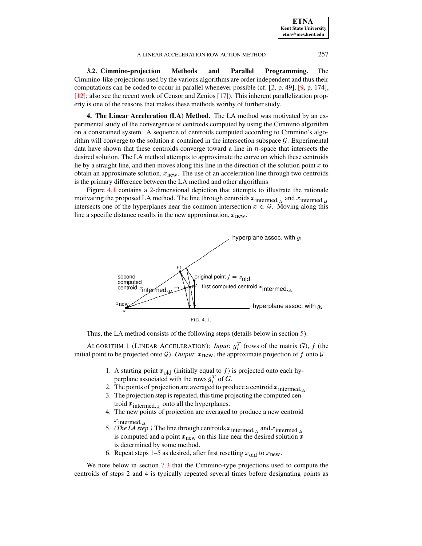| <b>ETNA</b>                  |
|------------------------------|
| <b>Kent State University</b> |
| etna@mcs.kent.edu            |

**3.2. Cimmino-projection Methods and Parallel Programming.** The Cimmino-like projections used by the various algorithms are order independent and thus their computations can be coded to occur in parallel whenever possible (cf. [\[2,](#page-21-14) p. 49], [\[9,](#page-21-0) p. 174], [\[12\]](#page-21-6); also see the recent work of Censor and Zenios [\[17\]](#page-21-11)). This inherent parallelization property is one of the reasons that makes these methods worthy of further study.

<span id="page-4-0"></span>**4. The Linear Acceleration (LA) Method.** The LA method was motivated by an experimental study of the convergence of centroids computed by using the Cimmino algorithm on a constrained system. A sequence of centroids computed according to Cimmino's algorithm will converge to the solution  $x$  contained in the intersection subspace  $\mathcal{G}$ . Experimental data have shown that these centroids converge toward a line in  $n$ -space that intersects the desired solution. The LA method attempts to approximate the curve on which these centroids lie by a straight line, and then moves along this line in the direction of the solution point  $x$  to obtain an approximate solution,  $x<sub>new</sub>$ . The use of an acceleration line through two centroids is the primary difference between the LA method and other algorithms

Figure [4.1](#page-4-1) contains a 2-dimensional depiction that attempts to illustrate the rationale motivating the proposed LA method. The line through centroids  $x_{\text{intermed. }A}$  and  $x_{\text{intermed. }B}$ intersects one of the hyperplanes near the common intersection  $x \in \mathcal{G}$ . Moving along this line a specific distance results in the new approximation,  $x_{\text{new}}$ .



Thus, the LA method consists of the following steps (details below in section [5\)](#page-8-0):

ALGORITHM 1 (LINEAR ACCELERATION): *Input*:  $g_i^T$  (rows of the matrix G), f (the initial point to be projected onto  $G$ ). *Output*:  $x_{new}$ , the approximate projection of  $f$  onto  $G$ .

- <span id="page-4-1"></span>1. A starting point  $x_{old}$  (initially equal to f) is projected onto each hyperplane associated with the rows  $g_i^T$  of  $G$ .
- 2. The points of projection are averaged to produce a centroid  $x_{\text{intermed. }A}$ .
- 3. The projection step is repeated, thistime projecting the computed centroid  $x_{\text{intermed. } A}$  onto all the hyperplanes.
- 4. The new points of projection are averaged to produce a new centroid  $x_{\text{intermed.}_B}$
- 5. *(The LA step.)* The line through centroids  $x_{\text{intermed. }A}$  and  $x_{\text{intermed. }B}$ is computed and a point  $x_{\text{new}}$  on this line near the desired solution  $x$ is determined by some method.
- 6. Repeat steps 1–5 as desired, after first resetting  $x_{old}$  to  $x_{new}$ .

We note below in section [7.3](#page-12-0) that the Cimmino-type projections used to compute the centroids of steps 2 and 4 is typically repeated several times before designating points as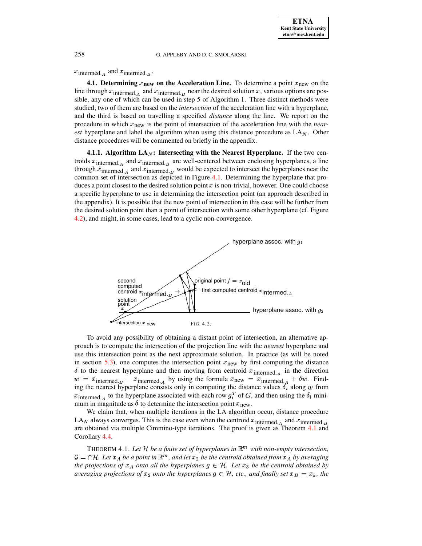$x_{\text{intermed. }A}$  and  $x_{\text{intermed. }B}$ .

**4.1. Determining**  $x_{\text{new}}$  on the Acceleration Line. To determine a point  $x_{\text{new}}$  on the line through  $x_{\text{intermed. }A}$  and  $x_{\text{intermed. }B}$  near the desired solution x, various options are possible, any one of which can be used in step 5 of Algorithm 1. Three distinct methods were studied; two of them are based on the *intersection* of the acceleration line with a hyperplane, and the third is based on travelling a specified *distance* along the line. We report on the procedure in which  $x_{\text{new}}$  is the point of intersection of the acceleration line with the *nearest* hyperplane and label the algorithm when using this distance procedure as  $LA<sub>N</sub>$ . Other distance procedures will be commented on briefly in the appendix.

<span id="page-5-2"></span>**4.1.1.** Algorithm  $LA_N$ : Intersecting with the Nearest Hyperplane. If the two centroids  $x_{\text{intermed. }A}$  and  $x_{\text{intermed. }B}$  are well-centered between enclosing hyperplanes, a line through  $x_{\text{intermed. }A}$  and  $x_{\text{intermed. }B}$  would be expected to intersect the hyperplanes near the common set of intersection as depicted in Figure [4.1.](#page-4-1) Determining the hyperplane that produces a point closest to the desired solution point  $x$  is non-trivial, however. One could choose a specific hyperplane to use in determining the intersection point (an approach described in the appendix). It is possible that the new point of intersection in this case will be further from the desired solution point than a point of intersection with some other hyperplane (cf. Figure [4.2\)](#page-5-0), and might, in some cases, lead to a cyclic non-convergence.



<span id="page-5-0"></span>To avoid any possibility of obtaining a distant point of intersection, an alternative approach is to compute the intersection of the projection line with the *nearest* hyperplane and use this intersection point as the next approximate solution. In practice (as will be noted in section [5.3\)](#page-9-0), one computes the intersection point  $x<sub>new</sub>$  by first computing the distance  $\delta$  to the nearest hyperplane and then moving from centroid  $x_{\text{intermed. A}}$  in the direction  $w = x_{\text{intermed},B} - x_{\text{intermed},A}$  by using the formula  $x_{\text{new}} = x_{\text{intermed},A} + \delta w$ . Finding the nearest hyperplane consists only in computing the distance values  $\delta_i$  along w from  $x_{\text{intermed. }A}$  to the hyperplane associated with each row  $g_i^T$  of G, and then using the  $\delta_i$  minimum in magnitude as  $\delta$  to determine the intersection point  $x_{\text{new}}$ .

We claim that, when multiple iterations in the LA algorithm occur, distance procedure LA<sub>N</sub> always converges. This is the case even when the centroid  $x_{\text{intermed. }A}$  and  $x_{\text{intermed. }B}$ are obtained via multiple Cimmino-type iterations. The proof is given as Theorem [4.1](#page-5-1) and Corollary [4.4.](#page-7-0)

<span id="page-5-1"></span>**THEOREM 4.1.** Let H be a finite set of hyperplanes in  $\mathbb{R}^m$  with non-empty intersection,  $\mathcal{G} = \cap \mathcal{H}$ . Let  $x_A$  be a point in  $\mathbb{R}^m$ , and let  $x_2$  be the centroid obtained from  $x_A$  by averaging *the projections of*  $x_A$  *onto all the hyperplanes*  $g \in \mathcal{H}$ *. Let*  $x_3$  *be the centroid obtained by averaging projections of*  $x_2$  *onto the hyperplanes*  $g \in \mathcal{H}$ *, etc., and finally set*  $x_B = x_k$ *, the*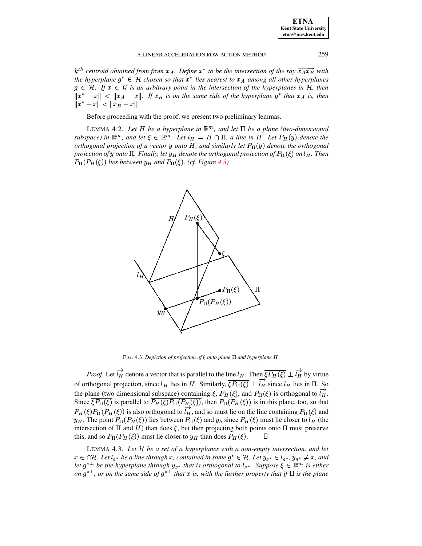$k^{th}$  centroid obtained from from  $x_A$ . Define  $x^*$  to be the intersection of the ray  $\overline{x_A x_B}$  with *the hyperplane*  $g^* \in H$  *chosen so that*  $x^*$  *lies nearest to*  $x_A$  *among all other hyperplanes*  $g \in \mathcal{H}$ . If  $x \in \mathcal{G}$  is an arbitrary point in the intersection of the hyperplanes in  $\mathcal{H}$ , then  $||x^* - x|| < ||x_A - x||$ . If  $x_B$  is on the same side of the hyperplane  $g^*$  that  $x_A$  is, then  $||x^* - x|| < ||x_B - x||.$ 

Before proceeding with the proof, we present two preliminary lemmas.

LEMMA 4.2. Let  $H$  be a hyperplane in  $\mathbb{R}^m$ , and let  $\Pi$  be a plane (two-dimensional *subspace*) in  $\mathbb{R}^m$ , and let  $\xi \in \mathbb{R}^m$ . Let  $l_H = H \cap \Pi$ , a line in H. Let  $P_H(y)$  denote the *orthogonal projection of a vector*  $y$  *onto*  $H$ *, and similarly let*  $P_{\Pi}(y)$  *denote the orthogonal* projection of  $y$  onto  $\Pi$ . Finally, let  $y_H$  denote the orthogonal projection of  $P_\Pi(\xi)$  on  $l_H$ . Then  $P_{\Pi}(P_H(\xi))$  lies between  $y_H$  and  $P_{\Pi}(\xi)$ . (cf. Figure [4.3\)](#page-6-0)



FIG. 4.3. Depiction of projection of  $\xi$  onto plane  $\Pi$  and hyperplane  $H$ .

<span id="page-6-0"></span>*Proof.* Let  $l_H$  denote a vector that is parallel to the line  $l_H$ . Then  $\xi P_H(\xi) \perp l_H$  by virtue of orthogonal projection, since  $l_H$  lies in H. Similarly,  $\xi P_{\Pi}(\xi) \perp l_H$  since  $l_H$  lies in  $\Pi$ . So the plane (two dimensional subspace) containing  $\xi$ ,  $P_H(\xi)$ , and  $P_{\Pi}(\xi)$  is orthogonal to  $l_H$ . Since  $\xi P_{\Pi}(\xi)$  is parallel to  $P_H(\xi)P_{\Pi}(P_{\underline{H}}(\xi))$ , then  $P_{\Pi}(P_H(\xi))$  is in this plane, too, so that  $P_H(\xi)P_\Pi(P_H(\xi))$  is also orthogonal to  $l_H$ , and so must lie on the line containing  $P_\Pi(\xi)$  and  $y_H$ . The point  $P_\Pi(P_H(\xi))$  lies between  $P_\Pi(\xi)$  and  $y_h$  since  $P_H(\xi)$  must lie closer to  $l_H$  (the intersection of  $\Pi$  and  $H$ ) than does  $\xi$ , but then projecting both points onto  $\Pi$  must preserve this, and so  $P_{\Pi}(P_H(\xi))$  must lie closer to  $y_H$  than does  $P_H(\xi)$ .  $\qquad \Box$ 

LEMMA 4.3. *Let* <sup>¾</sup> *be a set of hyperplanes with a non-empty intersection, and let*  $x \in \bigcap H$ . Let  $l_g$ , be a line through  $x$ , contained in some  $g^* \in H$ . Let  $y_{g^*} \in l_{g^*}$ ,  $y_{g^*} \neq x$ , and *let*  $g^{* \perp}$  *be the hyperplane through*  $y_{g^*}$  *that is orthogonal to*  $l_{g^*}$ . *Suppose*  $\xi \in \mathbb{R}^m$  *is either* on  $g^{* \perp}$ , or on the same side of  $g^{* \perp}$  that x is, with the further property that if  $\Pi$  is the plane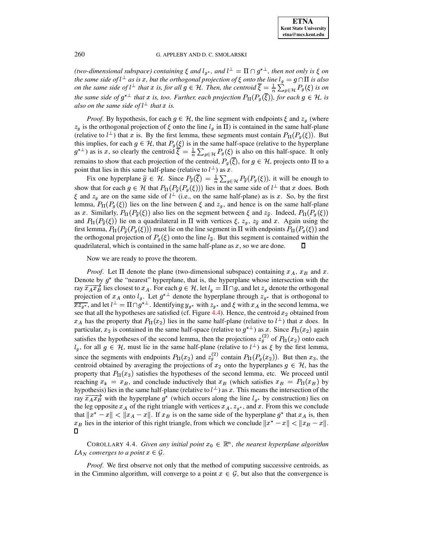*(two-dimensional subspace) containing*  $\xi$  *and*  $l_g^*$ *, and*  $l^{\perp} = \Pi \cap g^{*^{\perp}}$ *, then not only is*  $\xi$  *on the same side of*  $l^{\perp}$  *as is x, but the orthogonal projection of*  $\xi$  *onto the line*  $l_g = g \cap \Pi$  *is also on the same side of*  $l^{\perp}$  *that*  $x$  *is, for all*  $g \in H$ *. Then, the centroid*  $\xi = \frac{1}{n} \sum_{g \in H} P_g(\xi)$  *is on the same side of*  $g^{*\perp}$  *that*  $x$  *is, too. Further, each projection*  $P_{\Pi}(P_g(\xi))$ *, for each*  $g \in H$ *, is also on the same side of*  $l^{\perp}$  *that*  $x$  *is.* 

*Proof.* By hypothesis, for each  $g \in \mathcal{H}$ , the line segment with endpoints  $\xi$  and  $z_g$  (where  $z_g$  is the orthogonal projection of  $\xi$  onto the line  $l_g$  in  $\Pi$ ) is contained in the same half-plane (relative to  $l^{\perp}$ ) that x is. By the first lemma, these segments must contain  $P_{\Pi}(P_g(\xi))$ . But this implies, for each  $g \in \mathcal{H}$ , that  $P_g(\xi)$  is in the same half-space (relative to the hyperplane  $g^{*\perp}$ ) as is x, so clearly the centroid  $\xi = \frac{1}{n} \sum_{g \in \mathcal{H}} P_g(\xi)$  is also on this half-space. It only remains to show that each projection of the centroid,  $P_g(\xi)$ , for  $g \in \mathcal{H}$ , projects onto  $\Pi$  to a point that lies in this same half-plane (relative to  $l^{\perp}$ ) as x.

Fix one hyperplane  $\hat{g} \in \mathcal{H}$ . Since  $P_{\hat{g}}(\xi) = \frac{1}{n} \sum_{g \in \mathcal{H}} P_{\hat{g}}(P_g(\xi))$ , it will be enough to show that for each  $g \in \mathcal{H}$  that  $P_{\Pi}(P_{\hat{q}}(P_g(\xi)))$  lies in the same side of  $l^{\perp}$  that  $x$  does. Both  $\xi$  and  $z_g$  are on the same side of  $l^{\perp}$  (i.e., on the same half-plane) as is x. So, by the first lemma,  $P_{\Pi}(P_g(\xi))$  lies on the line between  $\xi$  and  $z_g$ , and hence is on the same half-plane as x. Similarly,  $P_{\Pi}(P_{\hat{g}}(\xi))$  also lies on the segment between  $\xi$  and  $z_{\hat{g}}$ . Indeed,  $P_{\Pi}(P_{g}(\xi))$ and  $P_{\Pi}(P_{\hat{g}}(\xi))$  lie on a quadrilateral in  $\Pi$  with vertices  $\xi$ ,  $z_g$ ,  $z_{\hat{g}}$  and x. Again using the first lemma,  $P_{\Pi}(P_{\hat{g}}(P_g(\xi)))$  must lie on the line segment in  $\Pi$  with endpoints  $P_{\Pi}(P_g(\xi))$  and the orthogonal projection of  $P_g(\xi)$  onto the line  $l_{\hat{g}}$ . But this segment is contained within the quadrilateral, which is contained in the same half-plane as  $x$ , so we are done.  $\Box$ 

Now we are ready to prove the theorem.

*Proof.* Let  $\Pi$  denote the plane (two-dimensional subspace) containing  $x_A$ ,  $x_B$  and  $x$ . Denote by  $g^*$  the "nearest" hyperplane, that is, the hyperplane whose intersection with the ray  $\overline{x_A x_B}$  lies closest to  $x_A$ . For each  $g \in \mathcal{H}$ , let  $l_g = \Pi \cap g$ , and let  $z_g$  denote the orthogonal projection of  $x_A$  onto  $l_g$ . Let  $g^*$  denote the hyperplane through  $z_{g^*}$  that is orthogonal to  $\overline{xz_{g^*}}$ , and let  $l^{\perp} = \Pi \cap g^{*\perp}$ . Identifying  $y_{g^*}$  with  $z_{g^*}$  and  $\xi$  with  $x_A$  in the second lemma, we see that all the hypotheses are satisfied (cf. Figure [4.4\)](#page-8-1). Hence, the centroid  $x_2$  obtained from  $x_A$  has the property that  $P_{\Pi}(x_2)$  lies in the same half-plane (relative to  $l^{\perp}$ ) that x does. In particular,  $x_2$  is contained in the same half-space (relative to  $g^{*\perp}$ ) as x. Since  $P_{\Pi}(x_2)$  again satisfies the hypotheses of the second lemma, then the projections  $z_g^{(2)}$  of  $P_{\Pi}(x_2)$  onto each  $l_q$ , for all  $q \in \mathcal{H}$ , must lie in the same half-plane (relative to  $l^{\perp}$ ) as  $\xi$  by the first lemma, since the segments with endpoints  $P_{\Pi}(x_2)$  and  $z_3^{(2)}$  contain  $P_{\Pi}(P_g(x_2))$ . But then  $x_3$ , the centroid obtained by averaging the projections of  $x_2$  onto the hyperplanes  $g \in \mathcal{H}$ , has the property that  $P_{\Pi}(x_3)$  satisfies the hypotheses of the second lemma, etc. We proceed until reaching  $x_k = x_B$ , and conclude inductively that  $x_B$  (which satisfies  $x_B = P_{\Pi}(x_B)$  by hypothesis) lies in the same half-plane (relative to  $l^{\perp}$ ) as x. This means the intersection of the ray  $\overline{x_A x_B}$  with the hyperplane  $g^*$  (which occurs along the line  $l_g^*$  by construction) lies on the leg opposite  $x_A$  of the right triangle with vertices  $x_A$ ,  $z_{q^*}$ , and  $x$ . From this we conclude that  $||x^* - x|| < ||x_A - x||$ . If  $x_B$  is on the same side of the hyperplane  $g^*$  that  $x_A$  is, then  $x_B$  lies in the interior of this right triangle, from which we conclude  $||x^* - x|| < ||x_B - x||$ .  $\Box$ 

<span id="page-7-0"></span>COROLLARY 4.4. *Given any initial point*  $x_0 \in \mathbb{R}^n$ , the nearest hyperplane algorithm *LA*<sup>*N*</sup> *converges to a point*  $x \in \mathcal{G}$ *.* 

*Proof.* We first observe not only that the method of computing successive centroids, as in the Cimmino algorithm, will converge to a point  $x \in \mathcal{G}$ , but also that the convergence is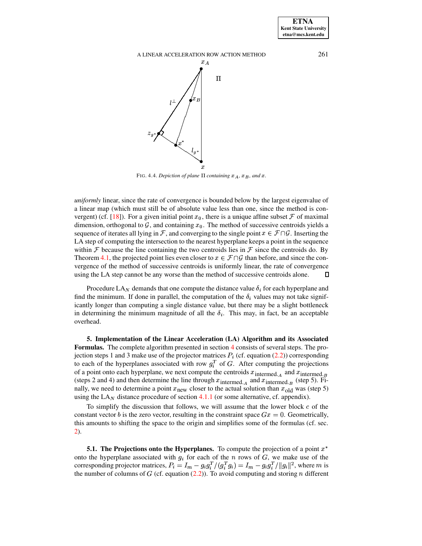

<span id="page-8-1"></span>FIG. 4.4. Depiction of plane  $\Pi$  containing  $x_A$ ,  $x_B$ , and  $x$ .

*uniformly* linear, since the rate of convergence is bounded below by the largest eigenvalue of a linear map (which must still be of absolute value less than one, since the method is con-vergent) (cf. [\[18\]](#page-22-1)). For a given initial point  $x_0$ , there is a unique affine subset  $\mathcal F$  of maximal dimension, orthogonal to  $\mathcal G$ , and containing  $x_0$ . The method of successive centroids yields a sequence of iterates all lying in F, and converging to the single point  $x \in \mathcal{F} \cap \mathcal{G}$ . Inserting the LA step of computing the intersection to the nearest hyperplane keeps a point in the sequence within  $\mathcal F$  because the line containing the two centroids lies in  $\mathcal F$  since the centroids do. By Theorem [4.1,](#page-5-1) the projected point lies even closer to  $x \in \mathcal{F} \cap \mathcal{G}$  than before, and since the convergence of the method of successive centroids is uniformly linear, the rate of convergence using the LA step cannot be any worse than the method of successive centroids alone. 口

Procedure LA<sub>N</sub> demands that one compute the distance value  $\delta_i$  for each hyperplane and find the minimum. If done in parallel, the computation of the  $\delta_i$  values may not take significantly longer than computing a single distance value, but there may be a slight bottleneck in determining the minimum magnitude of all the  $\delta_i$ . This may, in fact, be an acceptable overhead.

<span id="page-8-0"></span>**5. Implementation of the Linear Acceleration (LA) Algorithm and its Associated Formulas.** The complete algorithm presented in section [4](#page-4-0) consists of several steps. The projection steps 1 and 3 make use of the projector matrices  $P_i$  (cf. equation [\(2.2\)](#page-2-1)) corresponding to each of the hyperplanes associated with row  $g_i^T$  of G. After computing the projections of a point onto each hyperplane, we next compute the centroids  $x_{\text{intermed}_A}$  and  $x_{\text{intermed}_B}$ (steps 2 and 4) and then determine the line through  $x_{\text{intermed. }A}$  and  $x_{\text{intermed. }B}$  (step 5). Finally, we need to determine a point  $x_{\text{new}}$  closer to the actual solution than  $x_{\text{old}}$  was (step 5) using the  $LA<sub>N</sub>$  distance procedure of section [4.1.1](#page-5-2) (or some alternative, cf. appendix).

To simplify the discussion that follows, we will assume that the lower block  $c$  of the constant vector b is the zero vector, resulting in the constraint space  $Gx = 0$ . Geometrically, this amounts to shifting the space to the origin and simplifies some of the formulas (cf. sec. [2\)](#page-1-0).

<span id="page-8-2"></span>**5.1. The Projections onto the Hyperplanes.** To compute the projection of a point address the contract of the contract of the onto the hyperplane associated with  $g_i$  for each of the *n* rows of  $G$ , we make use of the corresponding projector matrices,  $P_i = I_m - g_i g_i^T / (g_i^T g_i) = I_m - g_i g_i^T / ||g_i||^2$ , where m is the number of columns of  $G$  (cf. equation [\(2.2\)](#page-2-1)). To avoid computing and storing  $n$  different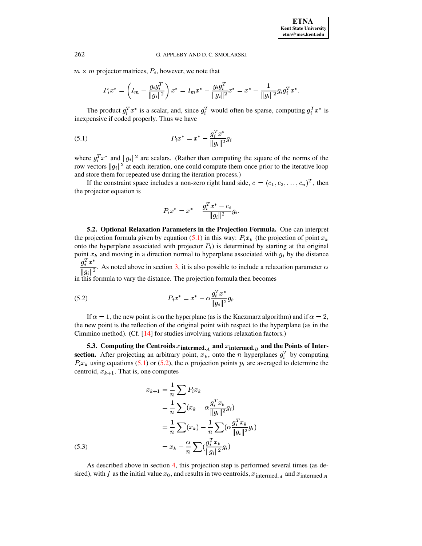$m \times m$  projector matrices,  $P_i$ , however, we note that

<span id="page-9-1"></span>
$$
P_i x^* = \left(I_m - \frac{g_i g_i^T}{\|g_i\|^2}\right) x^* = I_m x^* - \frac{g_i g_i^T}{\|g_i\|^2} x^* = x^* - \frac{1}{\|g_i\|^2} g_i g_i^T x^*.
$$

The product  $g_i^T x^*$  is a scalar, and, since  $g_i^T$  would often be sparse, computing  $g_i^T x^*$  is inexpensive if coded properly. Thus we have

(5.1) 
$$
P_i x^* = x^* - \frac{g_i^T x^*}{\|g_i\|^2} g_i
$$

where  $g_i^T x^*$  and  $||g_i||^2$  are scalars. (Rather than computing the square of the norms of the row vectors  $||g_i||^2$  at each iteration, one could compute them once prior to the iterative loop and store them for repeated use during the iteration process.)

If the constraint space includes a non-zero right hand side,  $c = (c_1, c_2, \dots, c_n)^T$ , then the projector equation is

<span id="page-9-2"></span>
$$
P_i x^* = x^* - \frac{g_i^T x^* - c_i}{\|g_i\|^2} g_i.
$$

**5.2. Optional Relaxation Parameters in the Projection Formula.** One can interpret the projection formula given by equation [\(5.1\)](#page-9-1) in this way:  $P_i x_k$  (the projection of point  $x_k$ onto the hyperplane associated with projector  $P_i$ ) is determined by starting at the original point  $x_k$  and moving in a direction normal to hyperplane associated with  $g_i$  by the distance  $\blacksquare$  (iii)  $\blacksquare$  (iii)  $\blacksquare$  (iii)  $\blacksquare$  (iii)  $\blacksquare$  (iii)  $\blacksquare$  (iii)  $\blacksquare$  (iii)  $\blacksquare$  $g_i^T x^*$  $\frac{g_i}{\|a_i\|^2}$ . As noted above in section [3,](#page-2-0) it is also possible to include a relaxation parameter  $\alpha$ 

in this formula to vary the distance. The projection formula then becomes

(5.2) 
$$
P_i x^* = x^* - \alpha \frac{g_i^T x^*}{\|g_i\|^2} g_i.
$$

If  $\alpha = 1$ , the new point is on the hyperplane (as is the Kaczmarz algorithm) and if  $\alpha = 2$ , the new point is the reflection of the original point with respect to the hyperplane (as in the Cimmino method). (Cf. [\[14\]](#page-21-8) for studies involving various relaxation factors.)

<span id="page-9-0"></span>**5.3.** Computing the Centroids  $x_{\text{intermed.}_A}$  and  $x_{\text{intermed.}_B}$  and the Points of Inter**section.** After projecting an arbitrary point,  $x_k$ , onto the *n* hyperplanes  $g_i^T$  by computing  $P_i x_k$  using equations [\(5.1\)](#page-9-1) or [\(5.2\)](#page-9-2), the *n* projection points  $p_i$  are averaged to determine the centroid,  $x_{k+1}$ . That is, one computes

<span id="page-9-3"></span>(5.3)  
\n
$$
x_{k+1} = \frac{1}{n} \sum P_i x_k
$$
\n
$$
= \frac{1}{n} \sum (x_k - \alpha \frac{g_i^T x_k}{\|g_i\|^2} g_i)
$$
\n
$$
= \frac{1}{n} \sum (x_k) - \frac{1}{n} \sum (\alpha \frac{g_i^T x_k}{\|g_i\|^2} g_i)
$$
\n
$$
= x_k - \frac{\alpha}{n} \sum (\frac{g_i^T x_k}{\|g_i\|^2} g_i)
$$

As described above in section [4,](#page-4-0) this projection step is performed several times (as desired), with f as the initial value  $x_0$ , and results in two centroids,  $x_{\text{intermed. }A}$  and  $x_{\text{intermed. }B}$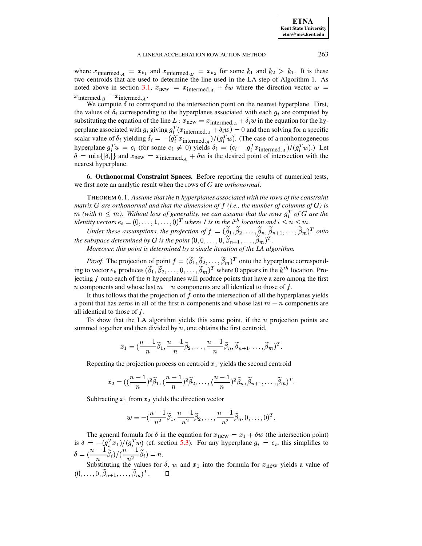where  $x_{\text{intermed. }A} = x_{k_1}$  and  $x_{\text{intermed. }B} = x_{k_2}$  for some  $k_1$  and  $k_2 > k_1$ . It is these two centroids that are used to determine the line used in the LA step of Algorithm 1. As noted above in section [3.1,](#page-3-0)  $x_{\text{new}} = x_{\text{intermed. }A} + \delta w$  where the direction vector  $w =$  $x_{\text{intermed. }B} - x_{\text{intermed. }A}$ .

We compute  $\delta$  to correspond to the intersection point on the nearest hyperplane. First, the values of  $\delta_i$  corresponding to the hyperplanes associated with each  $g_i$  are computed by substituting the equation of the line  $L : x_{\text{new}} = x_{\text{intermed. }A} + \delta_i w$  in the equation for the hyperplane associated with  $g_i$  giving  $g_i^T(x_{\text{intermed. }A} + \delta_i w) = 0$  and then solving for a specific scalar value of  $\delta_i$  yielding  $\delta_i = -(g_i^T x_{\text{intermed.}_A})/(g_i^T w)$ . (The case of a nonhomogeneous hyperplane  $g_i^T u = c_i$  (for some  $c_i \neq 0$ ) yields  $\delta_i = (c_i - g_i^T x_{\text{intermed. A}})/(g_i^T w)$ .) Let  $\delta = \min\{|\delta_i|\}$  and  $x_{\text{new}} = x_{\text{intermed. }A} + \delta w$  is the desired point of intersection with the nearest hyperplane.

<span id="page-10-0"></span>**6. Orthonormal Constraint Spaces.** Before reporting the results of numerical tests, we first note an analytic result when the rows of G are *orthonormal*.

THEOREM 6.1. *Assume that the hyperplanes associated with the rows of the constraint matrix*  $G$  are orthonormal and that the dimension of  $f$  (i.e., the number of columns of  $G$ ) is  $m$  (with  $n \leq m$ ). Without loss of generality, we can assume that the rows  $g_i^T$  of G are the *identity vectors*  $e_i = (0, \ldots, 1, \ldots, 0)^T$  *where 1 is in the i*<sup>th</sup> *location and*  $i \leq n \leq m$ .

*Under these assumptions, the projection of*  $f = (\beta_1, \beta_2, \dots, \beta_n, \beta_{n+1}, \dots, \beta_m)^T$  *onto the subspace determined by G is the point*  $(0,0,\ldots,0,\beta_{n+1},\ldots,\beta_m)^T$ .

*Moreover, this point is determined by a single iteration of the LA algorithm.*

*Proof.* The projection of point  $f = (\beta_1, \beta_2, ..., \beta_m)^T$  onto the hyperplane corresponding to vector  $e_k$  produces  $(\beta_1, \beta_2, \dots, 0, \dots, \beta_m)^T$  where 0 appears in the  $k^{th}$  location. Projecting  $f$  onto each of the  $n$  hyperplanes will produce points that have a zero among the first *n* components and whose last  $m - n$  components are all identical to those of  $f$ .

It thus follows that the projection of  $f$  onto the intersection of all the hyperplanes yields a point that has zeros in all of the first *n* components and whose last  $m - n$  components are all identical to those of  $f$ .

To show that the LA algorithm yields this same point, if the  $n$  projection points are summed together and then divided by  $n$ , one obtains the first centroid,

$$
x_1=(\frac{n-1}{n}\widetilde{\beta}_1,\frac{n-1}{n}\widetilde{\beta}_2,\ldots,\frac{n-1}{n}\widetilde{\beta}_n,\widetilde{\beta}_{n+1},\ldots,\widetilde{\beta}_m)^T.
$$

Repeating the projection process on centroid  $x_1$  yields the second centroid

$$
x_2=((\frac{n-1}{n})^2\widetilde{\beta}_1,(\frac{n-1}{n})^2\widetilde{\beta}_2,\ldots,(\frac{n-1}{n})^2\widetilde{\beta}_n,\widetilde{\beta}_{n+1},\ldots,\widetilde{\beta}_m)^T.
$$

Subtracting  $x_1$  from  $x_2$  yields the direction vector

$$
w = -(\frac{n-1}{n^2}\widetilde{\beta}_1, \frac{n-1}{n^2}\widetilde{\beta}_2, \dots, \frac{n-1}{n^2}\widetilde{\beta}_n, 0, \dots, 0)^T.
$$

The general formula for  $\delta$  in the equation for  $x_{\text{new}} = x_1 + \delta w$  (the intersection point) is  $\delta = -(g_i^T x_1)/(g_i^T w)$  (  $(g_i^T w)$  (cf. section [5.3\)](#page-9-0). For any hyperplane  $g_i = e_i$ , this simplifies to  $\delta = \frac{(\frac{n}{n})}{n} \beta_i / (\frac{n}{n^2}) \beta_i$  $\left(\frac{n-1}{n^2}\beta_i\right)=n.$ 

Substituting the values for  $\delta$ ,  $w$  and  $x_1$  into the formula for  $x_{\text{new}}$  yields a value of  $(0,\ldots,0,\beta_{n+1},\ldots,\beta_m)^T.$ П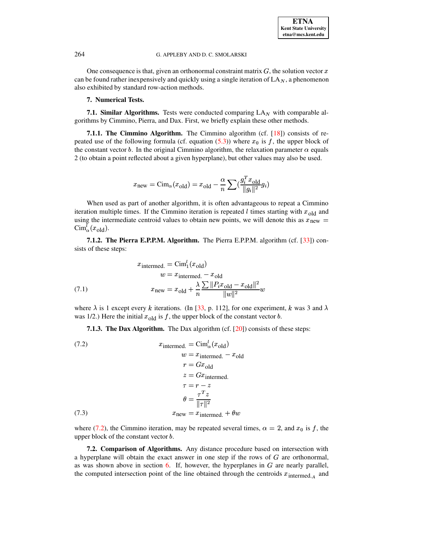<span id="page-11-0"></span>One consequence is that, given an orthonormal constraint matrix  $G$ , the solution vector  $x$ can be found rather inexpensively and quickly using a single iteration of  $LA<sub>N</sub>$ , a phenomenon also exhibited by standard row-action methods.

# **7. Numerical Tests.**

**7.1. Similar Algorithms.** Tests were conducted comparing  $LA_N$  with comparable algorithms by Cimmino, Pierra, and Dax. First, we briefly explain these other methods.

**7.1.1. The Cimmino Algorithm.** The Cimmino algorithm (cf. [\[18\]](#page-22-1)) consists of repeated use of the following formula (cf. equation  $(5.3)$ ) where  $x_0$  is f, the upper block of the constant vector b. In the original Cimmino algorithm, the relaxation parameter  $\alpha$  equals 2 (to obtain a point reflected about a given hyperplane), but other values may also be used.

$$
x_{\text{new}} = \text{Cim}_{\alpha}(x_{\text{old}}) = x_{\text{old}} - \frac{\alpha}{n} \sum_{i} \left( \frac{g_i^T x_{\text{old}}}{\|g_i\|^2} g_i \right)
$$

When used as part of another algorithm, it is often advantageous to repeat a Cimmino iteration multiple times. If the Cimmino iteration is repeated  $l$  times starting with  $x_{old}$  and using the intermediate centroid values to obtain new points, we will denote this as  $x_{\text{new}} =$  $\mathrm{Cim}_\alpha^l(x_{\text{old}})$ .

**7.1.2. The Pierra E.P.P.M. Algorithm.** The Pierra E.P.P.M. algorithm (cf. [\[33\]](#page-22-9)) consists of these steps:

$$
x_{\text{intermed.}} = \text{Cim}_{1}^{t}(x_{\text{old}})
$$

$$
w = x_{\text{intermed.}} - x_{\text{old}}
$$

$$
x_{\text{new}} = x_{\text{old}} + \frac{\lambda}{n} \frac{\sum ||P_{i}x_{\text{old}} - x_{\text{old}}||^{2}}{||w||^{2}}w
$$

where  $\lambda$  is 1 except every k iterations. (In [\[33,](#page-22-9) p. 112], for one experiment, k was 3 and  $\lambda$ was 1/2.) Here the initial  $x_{old}$  is f, the upper block of the constant vector b.

<span id="page-11-1"></span>**7.1.3. The Dax Algorithm.** The Dax algorithm (cf. [\[20\]](#page-22-11)) consists of these steps:

(7.2)  
\n
$$
x_{\text{intermed.}} = \text{Cim}_{\alpha}^{l}(x_{\text{old}})
$$
\n
$$
w = x_{\text{intermed.}} - x_{\text{old}}
$$
\n
$$
r = Gx_{\text{old}}
$$
\n
$$
z = Gx_{\text{intermed.}}
$$
\n
$$
\tau = r - z
$$
\n
$$
\theta = \frac{\tau^{T} z}{\|\tau\|^2}
$$
\n(7.3)  
\n
$$
x_{\text{new}} = x_{\text{intermed.}} + \theta w
$$

where [\(7.2\)](#page-11-1), the Cimmino iteration, may be repeated several times,  $\alpha = 2$ , and  $x_0$  is f, the upper block of the constant vector  $b$ .

**7.2. Comparison of Algorithms.** Any distance procedure based on intersection with a hyperplane will obtain the exact answer in one step if the rows of  $G$  are orthonormal, as was shown above in section  $6$ . If, however, the hyperplanes in  $G$  are nearly parallel, the computed intersection point of the line obtained through the centroids  $x_{\text{intermed}_A}$  and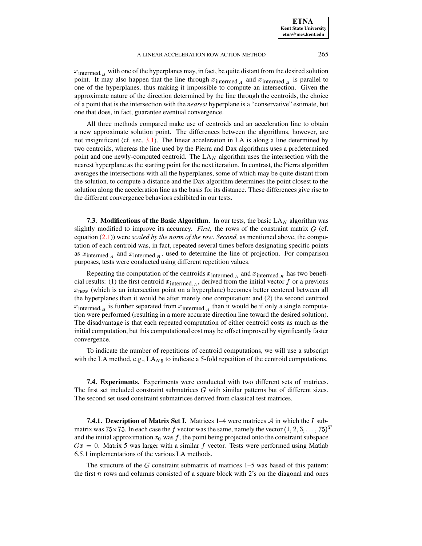**ETNA Kent State University etna@mcs.kent.edu**

## A LINEAR ACCELERATION ROW ACTION METHOD 265

 $x_{\rm{intermed.}\,B}$  with one of the hyperplanes may, in fact, be quite distant from the desired solution point. It may also happen that the line through  $x_{\text{intermed. }A}$  and  $x_{\text{intermed. }B}$  is parallel to one of the hyperplanes, thus making it impossible to compute an intersection. Given the approximate nature of the direction determined by the line through the centroids, the choice of a point that is the intersection with the *nearest* hyperplane is a "conservative" estimate, but one that does, in fact, guarantee eventual convergence.

All three methods compared make use of centroids and an acceleration line to obtain a new approximate solution point. The differences between the algorithms, however, are not insignificant (cf. sec. [3.1\)](#page-3-0). The linear acceleration in LA is along a line determined by two centroids, whereas the line used by the Pierra and Dax algorithms uses a predetermined point and one newly-computed centroid. The  $LA<sub>N</sub>$  algorithm uses the intersection with the nearest hyperplane as the starting point for the next iteration. In contrast, the Pierra algorithm averages the intersections with all the hyperplanes, some of which may be quite distant from the solution, to compute a distance and the Dax algorithm determines the point closest to the solution along the acceleration line as the basis for its distance. These differences give rise to the different convergence behaviors exhibited in our tests.

<span id="page-12-0"></span>**7.3. Modifications of the Basic Algorithm.** In our tests, the basic  $LA_N$  algorithm was slightly modified to improve its accuracy. *First*, the rows of the constraint matrix  $G$  (cf. equation [\(2.1\)](#page-1-1)) were *scaled by the norm of the row*. *Second,* as mentioned above, the computation of each centroid was, in fact, repeated several times before designating specific points as  $x_{\text{intermed. }A}$  and  $x_{\text{intermed. }B}$ , used to determine the line of projection. For comparison purposes, tests were conducted using different repetition values.

Repeating the computation of the centroids  $x_{\text{intermed. }A}$  and  $x_{\text{intermed. }B}$  has two beneficial results: (1) the first centroid  $x_{\text{intermed. }A}$ , derived from the initial vector f or a previous  $x<sub>new</sub>$  (which is an intersection point on a hyperplane) becomes better centered between all the hyperplanes than it would be after merely one computation; and (2) the second centroid  $x_{\text{intermed. }B}$  is further separated from  $x_{\text{intermed. }A}$  than it would be if only a single computation were performed (resulting in a more accurate direction line toward the desired solution). The disadvantage is that each repeated computation of either centroid costs as much as the initial computation, but this computational cost may be offset improved by significantly faster convergence.

To indicate the number of repetitions of centroid computations, we will use a subscript with the LA method, e.g.,  $LA_{N5}$  to indicate a 5-fold repetition of the centroid computations.

**7.4. Experiments.** Experiments were conducted with two different sets of matrices. The first set included constraint submatrices  $G$  with similar patterns but of different sizes. The second set used constraint submatrices derived from classical test matrices.

<span id="page-12-1"></span>**7.4.1. Description of Matrix Set I.** Matrices  $1-4$  were matrices  $\mathcal A$  in which the  $I$  submatrix was  $75 \times 75$ . In each case the  $f$  vector was the same, namely the vector  $(1, 2, 3, \ldots, 75)^T$ and the initial approximation  $x_0$  was f, the point being projected onto the constraint subspace  $\mathcal{L}$  $Gx = 0$ . Matrix 5 was larger with a similar f vector. Tests were performed using Matlab 6.5.1 implementations of the various LA methods.

The structure of the  $G$  constraint submatrix of matrices  $1-5$  was based of this pattern: the first  $n$  rows and columns consisted of a square block with 2's on the diagonal and ones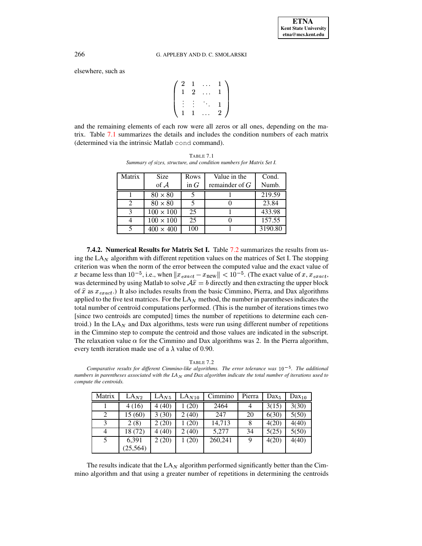$\sim$   $\sim$ 

elsewhere, such as

$$
\left(\begin{array}{ccccc}2 & 1 & \ldots & 1 \\1 & 2 & \ldots & 1 \\ \vdots & \vdots & \ddots & 1 \\1 & 1 & \ldots & 2\end{array}\right)
$$

<span id="page-13-0"></span>and the remaining elements of each row were all zeros or all ones, depending on the matrix. Table [7.1](#page-13-0) summarizes the details and includes the condition numbers of each matrix (determined via the intrinsic Matlab cond command).

TABLE 7.1 *Summary of sizes, structure, and condition numbers for Matrix Set I.*

| Matrix | <b>Size</b>      | Rows   | Value in the     | Cond.   |
|--------|------------------|--------|------------------|---------|
|        | of $\mathcal A$  | in $G$ | remainder of $G$ | Numb.   |
|        | $80 \times 80$   |        |                  | 219.59  |
|        | $80 \times 80$   |        |                  | 23.84   |
|        | $100\times100$   | 25     |                  | 433.98  |
|        | $100 \times 100$ | 25     |                  | 157.55  |
|        | $400 \times 400$ | 100    |                  | 3190.80 |

<span id="page-13-2"></span>**7.4.2. Numerical Results for Matrix Set I.** Table [7.2](#page-13-1) summarizes the results from using the LA $_N$  algorithm with different repetition values on the matrices of Set I. The stopping criterion was when the norm of the error between the computed value and the exact value of x became less than  $10^{-5}$ , i.e., when  $||x_{exact} - x_{new}|| < 10^{-5}$ . (The exact value of x,  $x_{exact}$ , was determined by using Matlab to solve  $\mathcal{A}\hat{x} = b$  directly and then extracting the upper block of  $\hat{x}$  as  $x_{exact}$ .) It also includes results from the basic Cimmino, Pierra, and Dax algorithms applied to the five test matrices. For the  $LA_N$  method, the number in parentheses indicates the total number of centroid computations performed. (This is the number of iterations times two [since two centroids are computed] times the number of repetitions to determine each centroid.) In the  $LA<sub>N</sub>$  and Dax algorithms, tests were run using different number of repetitions in the Cimmino step to compute the centroid and those values are indicated in the subscript. The relaxation value  $\alpha$  for the Cimmino and Dax algorithms was 2. In the Pierra algorithm, every tenth iteration made use of a  $\lambda$  value of 0.90.

<span id="page-13-1"></span>*Comparative results for different Cimmino-like algorithms. The error tolerance was . The additional* numbers in parentheses associated with the  $LA<sub>N</sub>$  and Dax algorithm indicate the total number of iterations used to *compute the centroids.*

| Matrix | $LA_{N2}$ | LA <sub>N5</sub> | LA <sub>N10</sub> | Cimmino | Pierra | Dax <sub>5</sub> | $\text{Dax}_{10}$ |
|--------|-----------|------------------|-------------------|---------|--------|------------------|-------------------|
|        | 4(16)     | 4(40)            | (20)              | 2464    |        | 3(15)            | 3(30)             |
| 2      | 15(60)    | 3(30)            | 2(40)             | 247     | 20     | 6(30)            | 5(50)             |
| 3      | 2(8)      | 2(20)            | (20)              | 14,713  | 8      | 4(20)            | 4(40)             |
| 4      | 18 (72)   | 4(40)            | 2(40)             | 5,277   | 34     | 5(25)            | 5(50)             |
| 5      | 6,391     | 2(20)            | 1(20)             | 260,241 | 9      | 4(20)            | 4(40)             |
|        | (25, 564) |                  |                   |         |        |                  |                   |

The results indicate that the LA $_N$  algorithm performed significantly better than the Cimmino algorithm and that using a greater number of repetitions in determining the centroids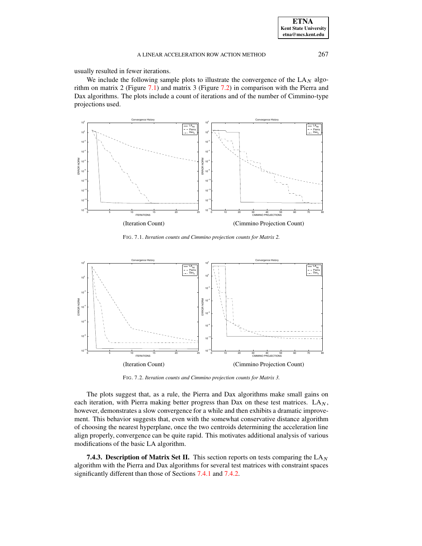usually resulted in fewer iterations.

We include the following sample plots to illustrate the convergence of the  $LA_N$  algorithm on matrix 2 (Figure [7.1\)](#page-14-0) and matrix 3 (Figure [7.2\)](#page-14-1) in comparison with the Pierra and Dax algorithms. The plots include a count of iterations and of the number of Cimmino-type projections used.



<span id="page-14-0"></span>FIG. 7.1. *Iteration counts and Cimmino projection counts for Matrix 2.*



FIG. 7.2. *Iteration counts and Cimmino projection counts for Matrix 3.*

<span id="page-14-1"></span>The plots suggest that, as a rule, the Pierra and Dax algorithms make small gains on each iteration, with Pierra making better progress than Dax on these test matrices.  $LA_N$ , however, demonstrates a slow convergence for a while and then exhibits a dramatic improvement. This behavior suggests that, even with the somewhat conservative distance algorithm of choosing the nearest hyperplane, once the two centroids determining the acceleration line align properly, convergence can be quite rapid. This motivates additional analysis of various modifications of the basic LA algorithm.

**7.4.3.** Description of Matrix Set II. This section reports on tests comparing the  $LA<sub>N</sub>$ algorithm with the Pierra and Dax algorithms for several test matrices with constraint spaces significantly different than those of Sections [7.4.1](#page-12-1) and [7.4.2.](#page-13-2)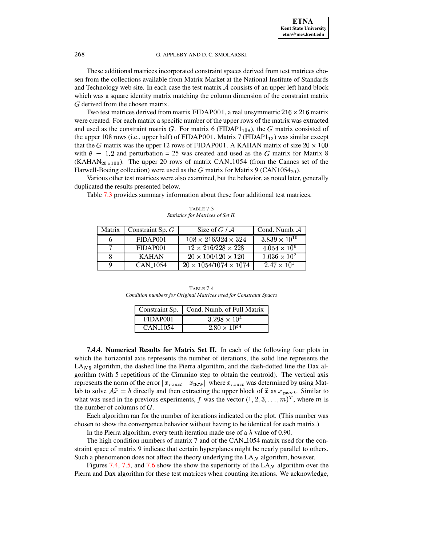These additional matrices incorporated constraint spaces derived from test matrices chosen from the collections available from Matrix Market at the National Institute of Standards and Technology web site. In each case the test matrix  $A$  consists of an upper left hand block which was a square identity matrix matching the column dimension of the constraint matrix G derived from the chosen matrix.

Two test matrices derived from matrix FIDAP001, a real unsymmetric  $216 \times 216$  matrix<br>created. For each matrix a specific number of the unper rows of the matrix was extracted were created. For each matrix a specific number of the upper rows of the matrix was extracted and used as the constraint matrix G. For matrix 6 (FIDAP $1_{108}$ ), the G matrix consisted of the upper 108 rows (i.e., upper half) of FIDAP001. Matrix 7 (FIDAP $1_{12}$ ) was similar except that the G matrix was the upper 12 rows of FIDAP001. A KAHAN matrix of size  $20 \times 100$ with  $\theta = 1.2$  and perturbation = 25 was created and used as the G matrix for Matrix 8 (KAHAN<sub>20×100</sub>). The upper 20 rows of matrix CAN 1054 (from the Cannes set of the Harwell-Boeing collection) were used as the  $G$  matrix for Matrix 9 (CAN1054 $_{20}$ ).

Various other test matrices were also examined, but the behavior, as noted later, generally duplicated the results presented below.

Table [7.3](#page-15-0) provides summary information about these four additional test matrices.

<span id="page-15-0"></span>

| $3.839 \times 10^{10}$<br>$108 \times 216/324 \times 324$<br>FIDAP001    |
|--------------------------------------------------------------------------|
|                                                                          |
| $\sqrt{4.054 \times 10^6}$<br>$12 \times 216/228 \times 228$<br>FIDAP001 |
| $1.036 \times 10^{2}$<br>$20 \times 100/120 \times 120$<br><b>KAHAN</b>  |
| $2.47 \times 10^{1}$<br>$20 \times 1054/1074 \times 1074$<br>CAN 1054    |

TABLE 7.3 *Statistics for Matrices of Set II.*

TABLE 7.4 *Condition numbers for Original Matrices used for Constraint Spaces*

|                      | Constraint Sp.   Cond. Numb. of Full Matrix |
|----------------------|---------------------------------------------|
| FIDAP <sub>001</sub> | $3.298 \times 10^{4}$                       |
| CAN <sub>-1054</sub> | $2.80 \times 10^{34}$                       |
|                      |                                             |

**7.4.4. Numerical Results for Matrix Set II.** In each of the following four plots in which the horizontal axis represents the number of iterations, the solid line represents the  $LA<sub>N5</sub>$  algorithm, the dashed line the Pierra algorithm, and the dash-dotted line the Dax algorithm (with 5 repetitions of the Cimmino step to obtain the centroid). The vertical axis represents the norm of the error  $||x_{exact} - x_{new}||$  where  $x_{exact}$  was determined by using Matlab to solve  $\mathcal{A}\hat{x} = b$  directly and then extracting the upper block of  $\hat{x}$  as  $x_{exact}$ . Similar to what was used in the previous experiments, f was the vector  $(1, 2, 3, \ldots, m)^T$ , where m is the number of columns of  $G$ .

Each algorithm ran for the number of iterations indicated on the plot. (This number was chosen to show the convergence behavior without having to be identical for each matrix.)

In the Pierra algorithm, every tenth iteration made use of a  $\lambda$  value of 0.90.

The high condition numbers of matrix 7 and of the CAN 1054 matrix used for the constraint space of matrix 9 indicate that certain hyperplanes might be nearly parallel to others. Such a phenomenon does not affect the theory underlying the  $LA<sub>N</sub>$  algorithm, however.

Figures [7.4,](#page-16-0) [7.5,](#page-17-0) and [7.6](#page-17-1) show the show the superiority of the  $LA<sub>N</sub>$  algorithm over the Pierra and Dax algorithm for these test matrices when counting iterations. We acknowledge,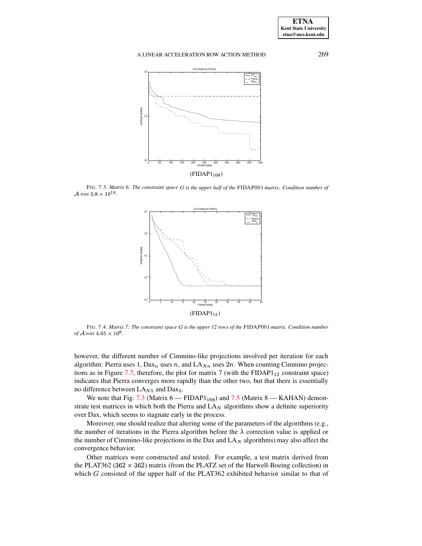

<span id="page-16-1"></span> $FIG. 7.3$ *. Matrix* 6: The constraint space G is the upper half of the FIDAP001 matrix. Condition number of  $\mathcal{A}$  was  $3.8 \times 10^{10}$ .



<span id="page-16-0"></span>FIG. 7.4. *Matrix 7: The constraint space* <sup>+</sup> *is the upper 12 rows of the* FIDAP001 *matrix. Condition number of*  $\mathcal A$  was  $4.05 \times 10^6$ .

however, the different number of Cimmino-like projections involved per iteration for each algorithm: Pierra uses 1,  $Dax_n$  uses n, and  $LA_{Nn}$  uses  $2n$ . When counting Cimmino projec-tions as in Figure [7.7,](#page-18-1) therefore, the plot for matrix 7 (with the FIDAP $1_{12}$  constraint space) indicates that Pierra converges more rapidly than the other two, but that there is essentially no difference between  $LA_{N5}$  and  $Dax_5$ .

We note that Fig. [7.3](#page-16-1) (Matrix  $6 - \text{FIDAP1}_{108}$ ) and [7.5](#page-17-0) (Matrix 8 — KAHAN) demonstrate test matrices in which both the Pierra and  $LA<sub>N</sub>$  algorithms show a definite superiority over Dax, which seems to stagnate early in the process.

Moreover, one should realize that altering some of the parameters of the algorithms (e.g., the number of iterations in the Pierra algorithm before the  $\lambda$  correction value is applied or the number of Cimmino-like projections in the Dax and  $LA<sub>N</sub>$  algorithms) may also affect the convergence behavior.

Other matrices were constructed and tested. For example, a test matrix derived from the PLAT362 ( $362 \times 362$ ) matrix (from the PLATZ set of the Harwell-Boeing collection) in which  $G$  consisted of the upper half of the PLAT362 exhibited behavior similar to that of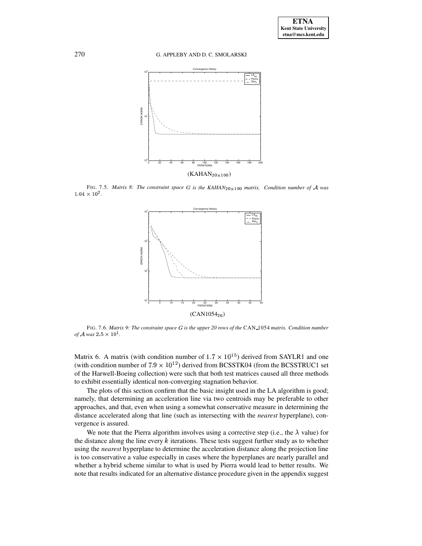270 G. APPLEBY AND D. C. SMOLARSKI



<span id="page-17-0"></span>FIG. 7.5. *Matrix* 8: The constraint space G is the  $KAHAN_{20\times 100}$  matrix. Condition number of A was  $1.04 \times 10^{2}$ .



<span id="page-17-1"></span>FIG. 7.6. *Matrix 9: The constraint space* <sup>+</sup> *is the upper 20 rows of the* CAN 1054 *matrix. Condition number of*  $A$  was  $2.5 \times 10^1$ .

Matrix 6. A matrix (with condition number of  $1.7 \times 10^{15}$ ) derived from SAYLR1 and one (with condition number of  $7.9 \times 10^{12}$ ) derived from BCSSTK04 (from the BCSSTRUC1 set of the Harwell-Boeing collection) were such that both test matrices caused all three methods to exhibit essentially identical non-converging stagnation behavior.

The plots of this section confirm that the basic insight used in the LA algorithm is good; namely, that determining an acceleration line via two centroids may be preferable to other approaches, and that, even when using a somewhat conservative measure in determining the distance accelerated along that line (such as intersecting with the *nearest* hyperplane), convergence is assured.

We note that the Pierra algorithm involves using a corrective step (i.e., the  $\lambda$  value) for the distance along the line every  $k$  iterations. These tests suggest further study as to whether using the *nearest* hyperplane to determine the acceleration distance along the projection line is too conservative a value especially in cases where the hyperplanes are nearly parallel and whether a hybrid scheme similar to what is used by Pierra would lead to better results. We note that results indicated for an alternative distance procedure given in the appendix suggest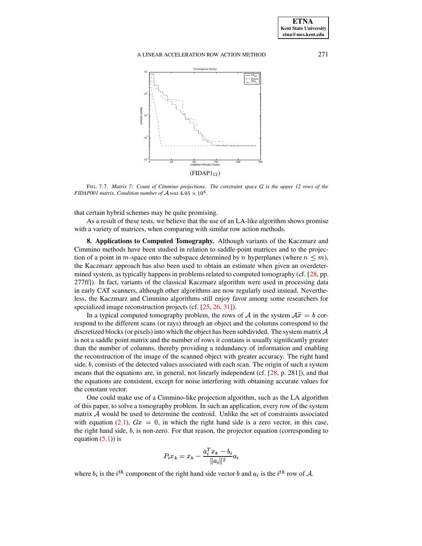

<span id="page-18-1"></span>FIG. 7.7. Matrix 7: Count of Cimmino projections. The constraint space G is the upper 12 rows of the *FIDAP001 matrix. Condition number of A was*  $4.05 \times 10^6$ .

that certain hybrid schemes may be quite promising.

As a result of these tests, we believe that the use of an LA-like algorithm shows promise with a variety of matrices, when comparing with similar row action methods.

<span id="page-18-0"></span>**8. Applications to Computed Tomography.** Although variants of the Kaczmarz and Cimmino methods have been studied in relation to saddle-point matrices and to the projection of a point in *m*-space onto the subspace determined by *n* hyperplanes (where  $n \leq m$ ), the Kaczmarz approach has also been used to obtain an estimate when given an overdetermined system, as typically happens in problems related to computed tomography (cf. [\[28,](#page-22-6) pp. 277ff]). In fact, variants of the classical Kaczmarz algorithm were used in processing data in early CAT scanners, although other algorithms are now regularly used instead. Nevertheless, the Kaczmarz and Cimmino algorithms still enjoy favor among some researchers for specialized image reconstruction projects (cf. [\[25,](#page-22-4) [26,](#page-22-5) [31\]](#page-22-16)).

In a typical computed tomography problem, the rows of A in the system  $\mathcal{A}\hat{x} = b$  correspond to the different scans (or rays) through an object and the columns correspond to the discretized blocks (or pixels) into which the object has been subdivided. The system matrix  $\mathcal A$ is not a saddle point matrix and the number of rows it contains is usually significantly greater than the number of columns, thereby providing a redundancy of information and enabling the reconstruction of the image of the scanned object with greater accuracy. The right hand side,  $b$ , consists of the detected values associated with each scan. The origin of such a system means that the equations are, in general, not linearly independent (cf. [\[28,](#page-22-6) p. 281]), and that the equations are consistent, except for noise interfering with obtaining accurate values for the constant vector.

One could make use of a Cimmino-like projection algorithm, such as the LA algorithm of this paper, to solve a tomography problem. In such an application, every row of the system matrix  $A$  would be used to determine the centroid. Unlike the set of constraints associated with equation [\(2.1\)](#page-1-1),  $Gx = 0$ , in which the right hand side is a zero vector, in this case, the right hand side,  $b$ , is non-zero. For that reason, the projector equation (corresponding to equation  $(5.1)$  is

$$
P_ix_k = x_k - \frac{a_i^Tx_k - b_i}{\|a_i\|^2}a_i
$$

where  $b_i$  is the  $i^{th}$  component of the right hand side vector b and  $a_i$  is the  $i^{th}$  row of A.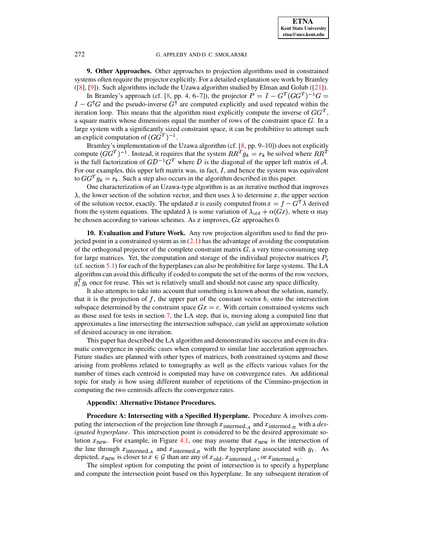**9. Other Approaches.** Other approaches to projection algorithms used in constrained systems often require the projector explicitly. For a detailed explanation see work by Bramley ([\[8\]](#page-21-3), [\[9\]](#page-21-0)). Such algorithms include the Uzawa algorithm studied by Elman and Golub ([\[21\]](#page-22-2)).

In Bramley's approach (cf. [\[8,](#page-21-3) pp. 4, 6–7]), the projector  $P = I - G^{T} (GG^{T})^{-1} G =$  $I - G^{\dagger}G$  and the pseudo-inverse  $G^{\dagger}$  are computed explicitly and used repeated within the iteration loop. This means that the algorithm must explicitly compute the inverse of  $GG<sup>T</sup>$ , a square matrix whose dimensions equal the number of rows of the constraint space  $G$ . In a large system with a significantly sized constraint space, it can be prohibitive to attempt such an explicit computation of  $(GG^T)^{-1}$ .

Bramley's implementation of the Uzawa algorithm (cf. [\[8,](#page-21-3) pp. 9–10]) does not explicitly compute  $(GG^T)^{-1}$ . Instead, it requires that the system  $RR^T g_k = r_k$  be solved where  $RR^T$ is the full factorization of  $GD^{-1}G^T$  where D is the diagonal of the upper left matrix of A. For our examples, this upper left matrix was, in fact,  $I$ , and hence the system was equivalent to  $GG^{T} g_{k} = r_{k}$ . Such a step also occurs in the algorithm described in this paper.

- One characterization of an Uzawa-type algorithm is as an iterative method that improves , the lower section of the solution vector, and then uses  $\lambda$  to determine x, the upper section of the solution vector, exactly. The updated x is easily computed from  $x = f - G<sup>T</sup> \lambda$  derived from the system equations. The updated  $\lambda$  is some variation of  $\lambda_{old} + \alpha(Gx)$ , where  $\alpha$  may be chosen according to various schemes. As  $x$  improves,  $Gx$  approaches 0.

**10. Evaluation and Future Work.** Any row projection algorithm used to find the projected point in a constrained system as in  $(2.1)$  has the advantage of avoiding the computation of the orthogonal projector of the complete constraint matrix  $G$ , a very time-consuming step for large matrices. Yet, the computation and storage of the individual projector matrices  $P_i$ (cf. section [5.1\)](#page-8-2) for each of the hyperplanes can also be prohibitive for large systems. The LA algorithm can avoid this difficulty if coded to compute the set of the norms of the row vectors,  $g_i^T g_i$  once for reuse. This set is relatively small and should not cause any space difficulty.

It also attempts to take into account that something is known about the solution, namely, that it is the projection of  $f$ , the upper part of the constant vector  $b$ , onto the intersection subspace determined by the constraint space  $Gx = c$ . With certain constrained systems such as those used for tests in section [7,](#page-11-0) the LA step, that is, moving along a computed line that approximates a line intersecting the intersection subspace, can yield an approximate solution of desired accuracy in one iteration.

This paper has described the LA algorithm and demonstrated its success and even its dramatic convergence in specific cases when compared to similar line acceleration approaches. Future studies are planned with other types of matrices, both constrained systems and those arising from problems related to tomography as well as the effects various values for the number of times each centroid is computed may have on convergence rates. An additional topic for study is how using different number of repetitions of the Cimmino-projection in computing the two centroids affects the convergence rates.

# **Appendix: Alternative Distance Procedures.**

**Procedure A: Intersecting with a Specified Hyperplane.** Procedure A involves computing the intersection of the projection line through  $x_{\text{intermed. }A}$  and  $x_{\text{intermed. }B}$  with a *designated hyperplane*. This intersection point is considered to be the desired approximate solution  $x_{\text{new}}$ . For example, in Figure [4.1,](#page-4-1) one may assume that  $x_{\text{new}}$  is the intersection of the line through  $x_{\text{intermed. }A}$  and  $x_{\text{intermed. }B}$  with the hyperplane associated with  $g_1$ . As depicted,  $x_{\text{new}}$  is closer to  $x \in \mathcal{G}$  than are any of  $x_{\text{old}}$ ,  $x_{\text{intermed. }A}$ , or  $x_{\text{intermed. }B}$ .

The simplest option for computing the point of intersection is to specify a hyperplane and compute the intersection point based on this hyperplane. In any subsequent iteration of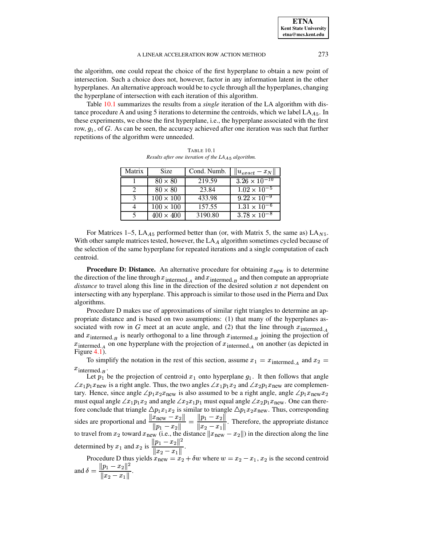the algorithm, one could repeat the choice of the first hyperplane to obtain a new point of intersection. Such a choice does not, however, factor in any information latent in the other hyperplanes. An alternative approach would be to cycle through all the hyperplanes, changing the hyperplane of intersection with each iteration of this algorithm.

Table [10.1](#page-20-0) summarizes the results from a *single* iteration of the LA algorithm with distance procedure A and using 5 iterations to determine the centroids, which we label  $LA<sub>A5</sub>$ . In these experiments, we chose the first hyperplane, i.e., the hyperplane associated with the first row,  $g_1$ , of G. As can be seen, the accuracy achieved after one iteration was such that further repetitions of the algorithm were unneeded.

<span id="page-20-0"></span>

| $3.26 \times 10^{-10}$<br>219.59<br>$80 \times 80$<br>$1.02 \times 10^{-5}$<br>23.84<br>$80 \times 80$<br>$9.22 \times 10^{-9}$<br>433.98<br>$100 \times 100$<br>$\mathcal{L}$<br>$1.31 \times 10^{-6}$<br>157.55<br>$100 \times 100$ | Matrix | Size | Cond. Numb. | $  u_{exact}-x_N  $ |
|---------------------------------------------------------------------------------------------------------------------------------------------------------------------------------------------------------------------------------------|--------|------|-------------|---------------------|
|                                                                                                                                                                                                                                       |        |      |             |                     |
|                                                                                                                                                                                                                                       |        |      |             |                     |
|                                                                                                                                                                                                                                       |        |      |             |                     |
|                                                                                                                                                                                                                                       |        |      |             |                     |
| $3.78 \times 10^{-8}$<br>3190.80<br>$400 \times 400$                                                                                                                                                                                  |        |      |             |                     |

TABLE 10.1 *Results after one iteration of the LA algorithm.*

For Matrices 1–5,  $LA_{A5}$  performed better than (or, with Matrix 5, the same as)  $LA_{N5}$ . With other sample matrices tested, however, the  $LA<sub>A</sub>$  algorithm sometimes cycled because of the selection of the same hyperplane for repeated iterations and a single computation of each centroid.

**Procedure D: Distance.** An alternative procedure for obtaining  $x_{\text{new}}$  is to determine the direction of the line through  $x_{\text{intermed. }A}$  and  $x_{\text{intermed. }B}$  and then compute an appropriate *distance* to travel along this line in the direction of the desired solution  $x$  not dependent on intersecting with any hyperplane. This approach is similar to those used in the Pierra and Dax algorithms.

Procedure D makes use of approximations of similar right triangles to determine an appropriate distance and is based on two assumptions: (1) that many of the hyperplanes associated with row in G meet at an acute angle, and (2) that the line through  $x_{\text{intermed}_A}$ and  $x_{\text{intermed},B}$  is nearly orthogonal to a line through  $x_{\text{intermed},B}$  joining the projection of  $x_{\text{intermed. }A}$  on one hyperplane with the projection of  $x_{\text{intermed. }A}$  on another (as depicted in Figure [4.1\)](#page-4-1).

To simplify the notation in the rest of this section, assume  $x_1 = x_{\text{intermed. }A}$  and  $x_2 =$  $x_{\text{intermed. }B}$ .

Let  $p_1$  be the projection of centroid  $x_1$  onto hyperplane  $g_1$ . It then follows that angle  $\angle x_1 p_1 x_{\text{new}}$  is a right angle. Thus, the two angles  $\angle x_1 p_1 x_2$  and  $\angle x_2 p_1 x_{\text{new}}$  are complementary. Hence, since angle  $\angle p_1 x_2 x_{\text{new}}$  is also assumed to be a right angle, angle  $\angle p_1 x_{\text{new}} x_2$ must equal angle  $\angle x_1p_1x_2$  and angle  $\angle x_2x_1p_1$  must equal angle  $\angle x_2p_1x_{\text{new}}$ . One can therefore conclude that triangle  $\Delta p_1 x_1 x_2$  is similar to triangle  $\Delta p_1 x_2 x_{\text{new}}$ . Thus, corresponding sides are proportional and  $\frac{||x_{\text{new}} - x_2||}{||x_{\text{new}} - x_2||} = \frac{||p_1 - p_2||}{||x_{\text{new}} - x_2||}$  $\frac{\ln 2}{\|p_1 - x_2\|} = \frac{\ln 2}{\|x_2 - x_1\|}$ . Therefore  $\frac{||p_1 - x_2||}{||x_2 - x_1||}$ . Therefore, the appropriate distance to travel from  $x_2$  toward  $x_{\text{new}}$  (i.e., the distance  $x_{\text{new}} - x_2$ )) in the direction along the line determined by  $x_1$  and  $x_2$  is  $\frac{\|p_1 - x_2\|^2}{\|p_1 - x_2\|^2}$ .  $\frac{||p_1 - x_2||}{||x_2 - x_1||}.$ 

Procedure D thus yields  $x_{\text{new}} = x_2 + \delta w$  where  $w = x_2 - x_1, x_2$  is the second centroid and  $\delta = \frac{||p_1 - x_2||^2}{||x_2 - x_1||}.$ 

$$
\|x_2-x_1\|
$$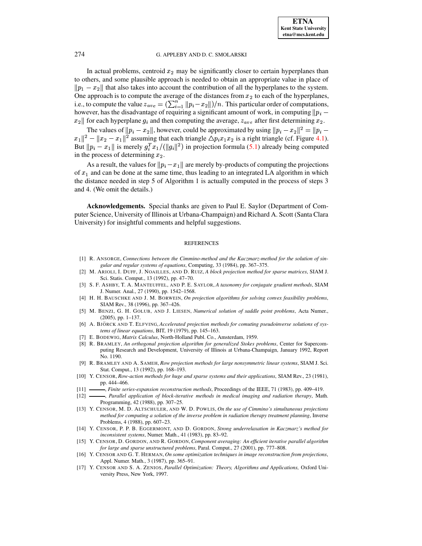In actual problems, centroid  $x_2$  may be significantly closer to certain hyperplanes than to others, and some plausible approach is needed to obtain an appropriate value in place of  $\|p_1 - x_2\|$  that also takes into account the contribution of all the hyperplanes to the system. One approach is to compute the average of the distances from  $x_2$  to each of the hyperplanes, i.e., to compute the value  $z_{ave} = (\sum_{i=1}^{n} ||p_i - x_2||)/n$ . This particular order of computations,<br>however, has the disadvantage of requiring a significant amount of work, in computing  $||p_i - p_j||$ however, has the disadvantage of requiring a significant amount of work, in computing  $||p_i - p_j||$  $x_2$  for each hyperplane  $g_i$  and then computing the average,  $z_{ave}$  after first determining  $x_2$ .

The values of  $||p_i - x_2||$ , however, could be approximated by using  $||p_i - x_2||^2 = ||p_i - x_2||$  $||x_1||^2 - ||x_2 - x_1||^2$  assuming that each triangle  $\triangle p_i x_1 x_2$  is a right triangle (cf. Figure [4.1\)](#page-4-1). But  $||p_i - x_1||$  is merely  $g_i^T x_1/(\|g_i\|^2)$  in projection formula [\(5.1\)](#page-9-1) already being computed in the process of determining  $x_2$ .

As a result, the values for  $||p_i - x_1||$  are merely by-products of computing the projections of  $x_1$  and can be done at the same time, thus leading to an integrated LA algorithm in which the distance needed in step 5 of Algorithm 1 is actually computed in the process of steps 3 and 4. (We omit the details.)

**Acknowledgements.** Special thanks are given to Paul E. Saylor (Department of Computer Science, University of Illinois at Urbana-Champaign) and Richard A. Scott (Santa Clara University) for insightful comments and helpful suggestions.

#### REFERENCES

- [1] R. ANSORGE, *Connections between the Cimmino-method and the Kaczmarz-method for the solution of singular and regular systems of equations*, Computing, 33 (1984), pp. 367–375.
- <span id="page-21-14"></span>[2] M. ARIOLI, I. DUFF, J. NOAILLES, AND D. RUIZ, *A block projection method for sparse matrices*, SIAM J. Sci. Statis. Comput., 13 (1992), pp. 47–70.
- [3] S. F. ASHBY, T. A. MANTEUFFEL, AND P. E. SAYLOR, *A taxonomy for conjugate gradient methods*, SIAM J. Numer. Anal., 27 (1990), pp. 1542–1568.
- <span id="page-21-4"></span>[4] H. H. BAUSCHKE AND J. M. BORWEIN, *On projection algorithms for solving convex feasibility problems*, SIAM Rev., 38 (1996), pp. 367–426.
- <span id="page-21-2"></span>[5] M. BENZI, G. H. GOLUB, AND J. LIESEN, *Numerical solution of saddle point problems*, Acta Numer., (2005), pp. 1–137.
- <span id="page-21-13"></span><span id="page-21-12"></span>[6] A. BJÖRCK AND T. ELFVING, *Accelerated projection methods for comuting pseudoinverse solutions of systems of linear equations*, BIT, 19 (1979), pp. 145–163.
- [7] E. BODEWIG, *Matrix Calculus*, North-Holland Publ. Co., Amsterdam, 1959.
- <span id="page-21-3"></span>[8] R. BRAMLEY, *An orthogonal projection algorithm for generalized Stokes problems*, Center for Supercomputing Research and Development, University of Illinois at Urbana-Champaign, January 1992, Report No. 1190.
- <span id="page-21-0"></span>[9] R. BRAMLEY AND A. SAMEH, *Row projection methods for large nonsymmetric linear systems*, SIAM J. Sci. Stat. Comput., 13 (1992), pp. 168–193.
- <span id="page-21-1"></span>[10] Y. CENSOR, *Row-action methods for huge and sparse systems and their applications*, SIAM Rev., 23 (1981), pp. 444–466.
- <span id="page-21-6"></span><span id="page-21-5"></span>[11] , *Finite series-expansion reconstruction methods*, Proceedings of the IEEE, 71 (1983), pp. 409–419.
- [12] , *Parallel application of block-iterative methods in medical imaging and radiation therapy*, Math. Programming, 42 (1988), pp. 307–25.
- <span id="page-21-7"></span>[13] Y. CENSOR, M. D. ALTSCHULER, AND W. D. POWLIS, *On the use of Cimmino's simultaneous projections method for computing a solution of the inverse problem in radiation therapy treatment planning*, Inverse Problems, 4 (1988), pp. 607–23.
- <span id="page-21-8"></span>[14] Y. CENSOR, P. P. B. EGGERMONT, AND D. GORDON, *Strong underrelaxation in Kaczmarz's method for inconsistent systems*, Numer. Math., 41 (1983), pp. 83–92.
- <span id="page-21-9"></span>[15] Y. CENSOR, D. GORDON, AND R. GORDON, *Component averaging: An efficient iterative parallel algorithm for large and sparse unstructured problems*, Paral. Comput., 27 (2001), pp. 777–808.
- <span id="page-21-10"></span>[16] Y. CENSOR AND G. T. HERMAN, *On some optimization techniques in image reconstruction from projections*, Appl. Numer. Math., 3 (1987), pp. 365–91.
- <span id="page-21-11"></span>[17] Y. CENSOR AND S. A. ZENIOS, *Parallel Optimization: Theory, Algorithms and Applications,* Oxford University Press, New York, 1997.